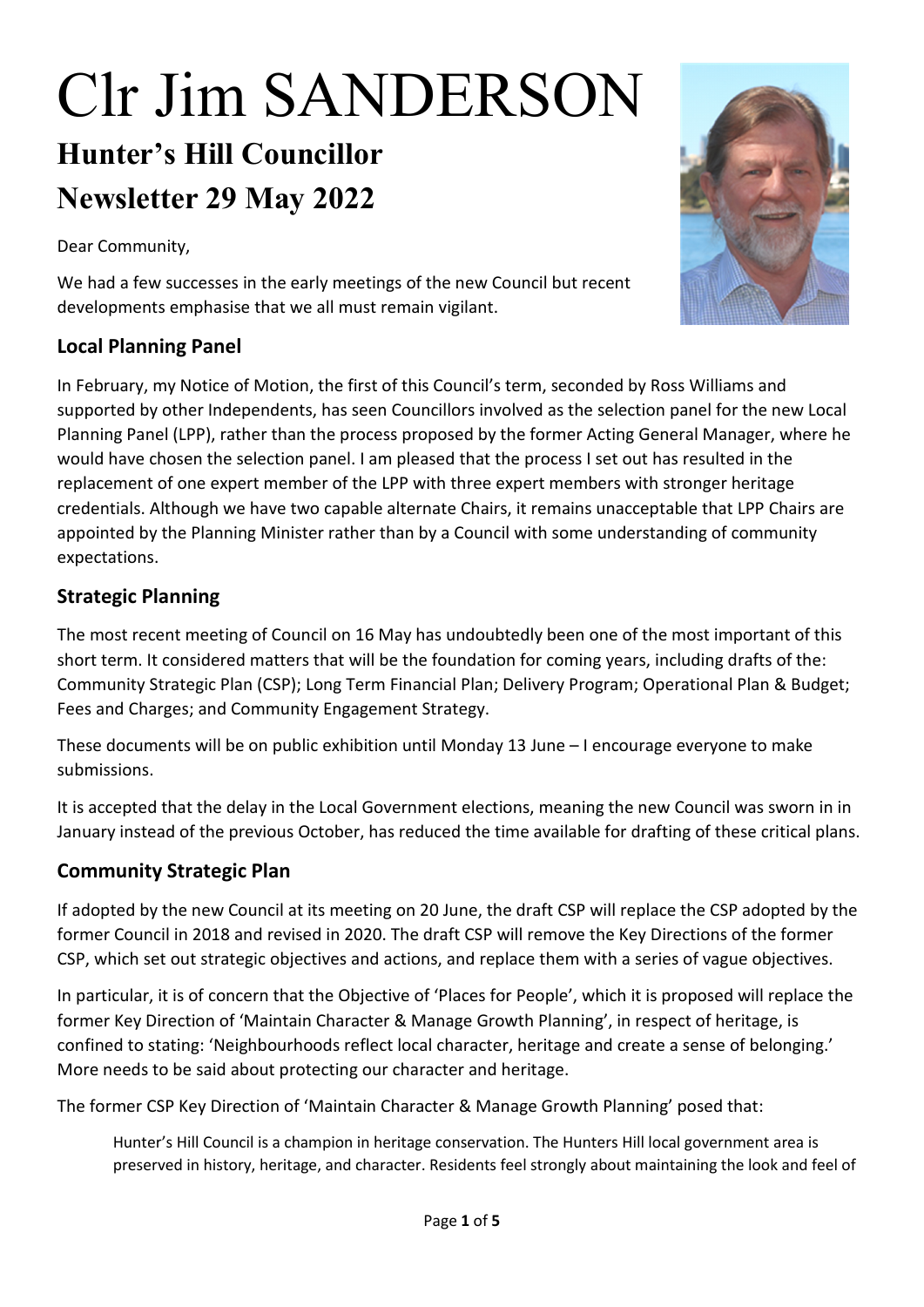# Clr Jim SANDERSON **Hunter's Hill Councillor Newsletter 29 May 2022**

Dear Community,

We had a few successes in the early meetings of the new Council but recent developments emphasise that we all must remain vigilant.

#### **Local Planning Panel**

In February, my Notice of Motion, the first of this Council's term, seconded by Ross Williams and supported by other Independents, has seen Councillors involved as the selection panel for the new Local Planning Panel (LPP), rather than the process proposed by the former Acting General Manager, where he would have chosen the selection panel. I am pleased that the process I set out has resulted in the replacement of one expert member of the LPP with three expert members with stronger heritage credentials. Although we have two capable alternate Chairs, it remains unacceptable that LPP Chairs are appointed by the Planning Minister rather than by a Council with some understanding of community expectations.

### **Strategic Planning**

The most recent meeting of Council on 16 May has undoubtedly been one of the most important of this short term. It considered matters that will be the foundation for coming years, including drafts of the: Community Strategic Plan (CSP); Long Term Financial Plan; Delivery Program; Operational Plan & Budget; Fees and Charges; and Community Engagement Strategy.

These documents will be on public exhibition until Monday 13 June – I encourage everyone to make submissions.

It is accepted that the delay in the Local Government elections, meaning the new Council was sworn in in January instead of the previous October, has reduced the time available for drafting of these critical plans.

## **Community Strategic Plan**

If adopted by the new Council at its meeting on 20 June, the draft CSP will replace the CSP adopted by the former Council in 2018 and revised in 2020. The draft CSP will remove the Key Directions of the former CSP, which set out strategic objectives and actions, and replace them with a series of vague objectives.

In particular, it is of concern that the Objective of 'Places for People', which it is proposed will replace the former Key Direction of 'Maintain Character & Manage Growth Planning', in respect of heritage, is confined to stating: 'Neighbourhoods reflect local character, heritage and create a sense of belonging.' More needs to be said about protecting our character and heritage.

The former CSP Key Direction of 'Maintain Character & Manage Growth Planning' posed that:

Hunter's Hill Council is a champion in heritage conservation. The Hunters Hill local government area is preserved in history, heritage, and character. Residents feel strongly about maintaining the look and feel of

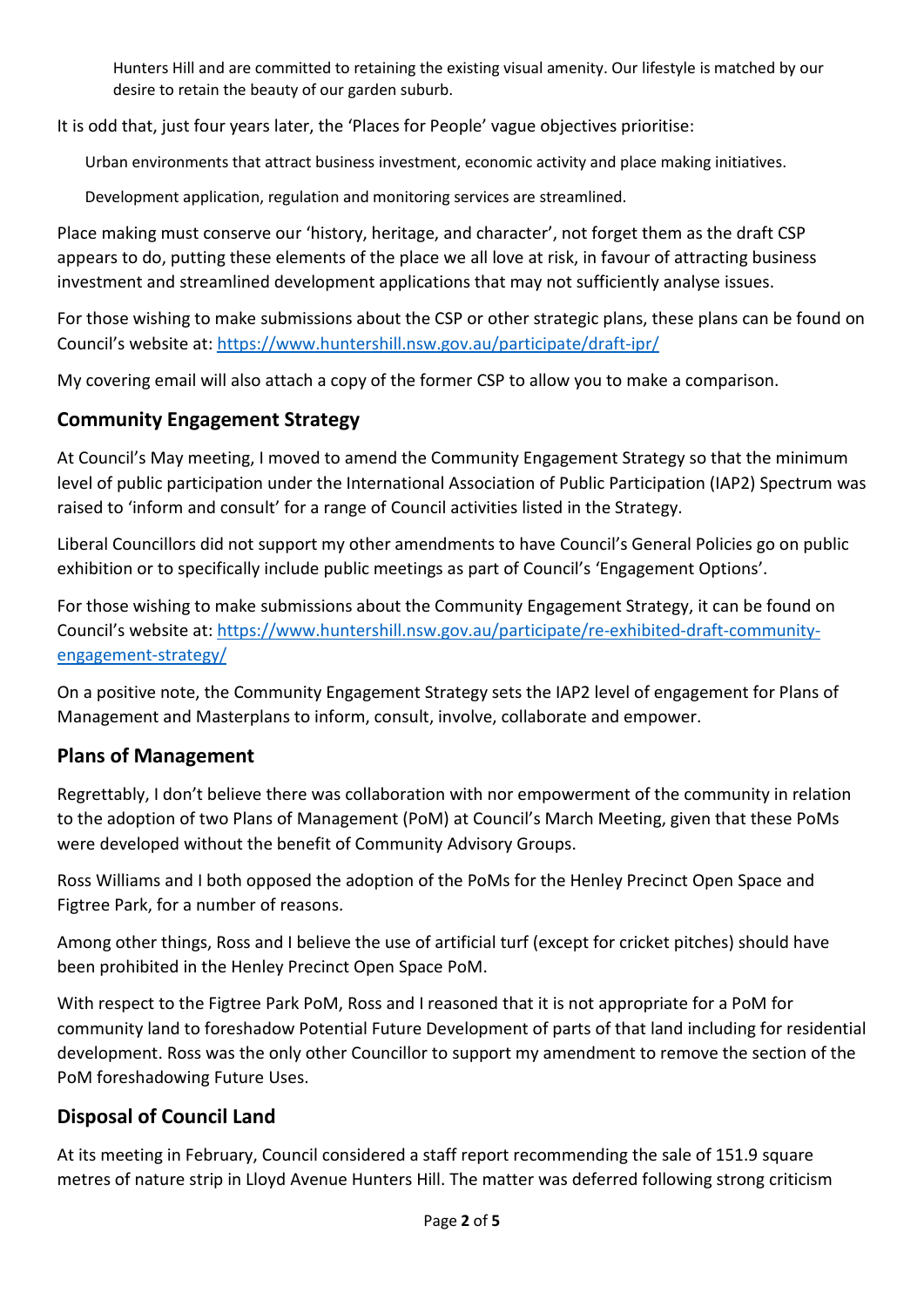Hunters Hill and are committed to retaining the existing visual amenity. Our lifestyle is matched by our desire to retain the beauty of our garden suburb.

It is odd that, just four years later, the 'Places for People' vague objectives prioritise:

Urban environments that attract business investment, economic activity and place making initiatives.

Development application, regulation and monitoring services are streamlined.

Place making must conserve our 'history, heritage, and character', not forget them as the draft CSP appears to do, putting these elements of the place we all love at risk, in favour of attracting business investment and streamlined development applications that may not sufficiently analyse issues.

For those wishing to make submissions about the CSP or other strategic plans, these plans can be found on Council's website at:<https://www.huntershill.nsw.gov.au/participate/draft-ipr/>

My covering email will also attach a copy of the former CSP to allow you to make a comparison.

#### **Community Engagement Strategy**

At Council's May meeting, I moved to amend the Community Engagement Strategy so that the minimum level of public participation under the International Association of Public Participation (IAP2) Spectrum was raised to 'inform and consult' for a range of Council activities listed in the Strategy.

Liberal Councillors did not support my other amendments to have Council's General Policies go on public exhibition or to specifically include public meetings as part of Council's 'Engagement Options'.

For those wishing to make submissions about the Community Engagement Strategy, it can be found on Council's website at: [https://www.huntershill.nsw.gov.au/participate/re-exhibited-draft-community](https://www.huntershill.nsw.gov.au/participate/re-exhibited-draft-community-engagement-strategy/)[engagement-strategy/](https://www.huntershill.nsw.gov.au/participate/re-exhibited-draft-community-engagement-strategy/)

On a positive note, the Community Engagement Strategy sets the IAP2 level of engagement for Plans of Management and Masterplans to inform, consult, involve, collaborate and empower.

#### **Plans of Management**

Regrettably, I don't believe there was collaboration with nor empowerment of the community in relation to the adoption of two Plans of Management (PoM) at Council's March Meeting, given that these PoMs were developed without the benefit of Community Advisory Groups.

Ross Williams and I both opposed the adoption of the PoMs for the Henley Precinct Open Space and Figtree Park, for a number of reasons.

Among other things, Ross and I believe the use of artificial turf (except for cricket pitches) should have been prohibited in the Henley Precinct Open Space PoM.

With respect to the Figtree Park PoM, Ross and I reasoned that it is not appropriate for a PoM for community land to foreshadow Potential Future Development of parts of that land including for residential development. Ross was the only other Councillor to support my amendment to remove the section of the PoM foreshadowing Future Uses.

#### **Disposal of Council Land**

At its meeting in February, Council considered a staff report recommending the sale of 151.9 square metres of nature strip in Lloyd Avenue Hunters Hill. The matter was deferred following strong criticism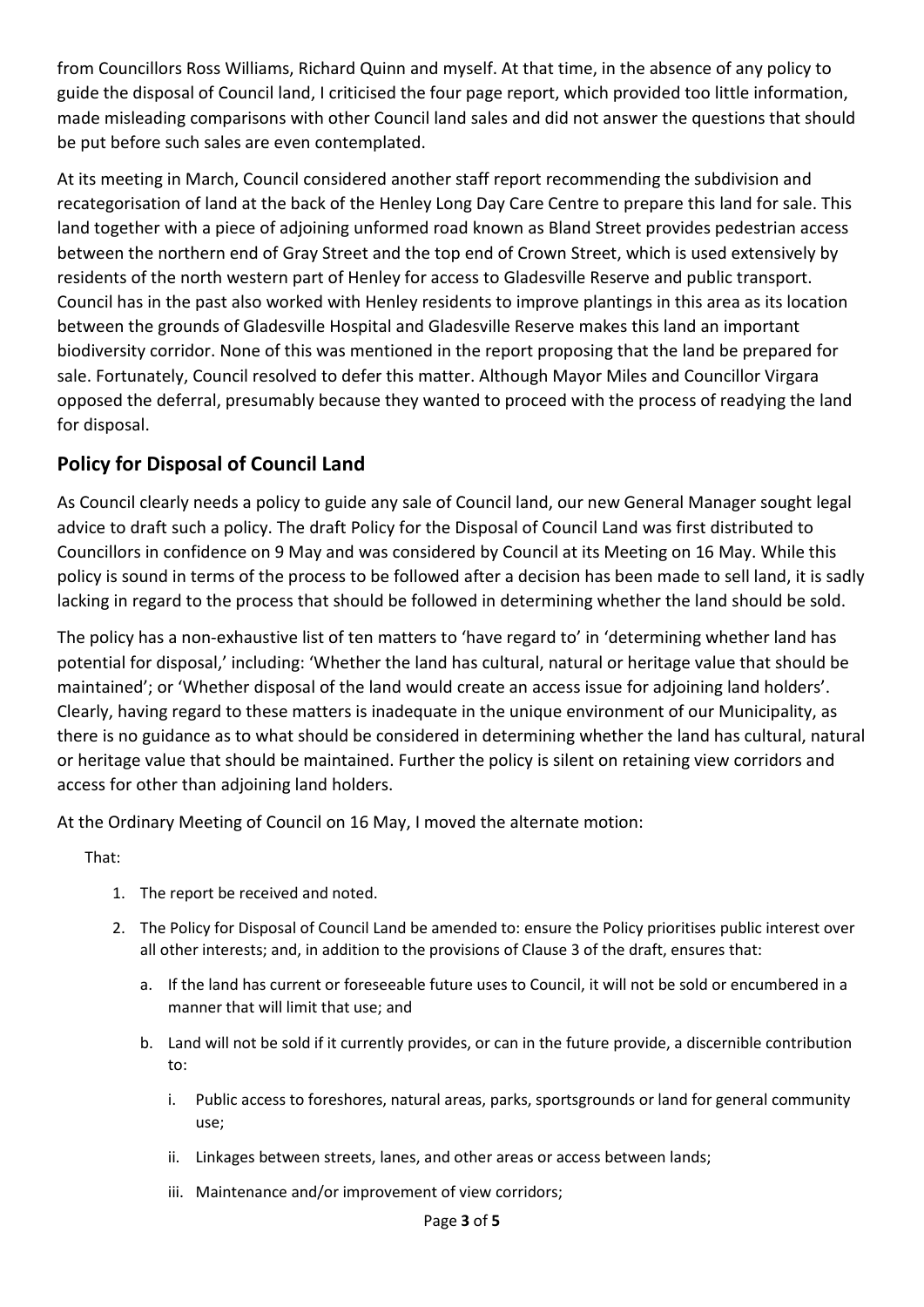from Councillors Ross Williams, Richard Quinn and myself. At that time, in the absence of any policy to guide the disposal of Council land, I criticised the four page report, which provided too little information, made misleading comparisons with other Council land sales and did not answer the questions that should be put before such sales are even contemplated.

At its meeting in March, Council considered another staff report recommending the subdivision and recategorisation of land at the back of the Henley Long Day Care Centre to prepare this land for sale. This land together with a piece of adjoining unformed road known as Bland Street provides pedestrian access between the northern end of Gray Street and the top end of Crown Street, which is used extensively by residents of the north western part of Henley for access to Gladesville Reserve and public transport. Council has in the past also worked with Henley residents to improve plantings in this area as its location between the grounds of Gladesville Hospital and Gladesville Reserve makes this land an important biodiversity corridor. None of this was mentioned in the report proposing that the land be prepared for sale. Fortunately, Council resolved to defer this matter. Although Mayor Miles and Councillor Virgara opposed the deferral, presumably because they wanted to proceed with the process of readying the land for disposal.

## **Policy for Disposal of Council Land**

As Council clearly needs a policy to guide any sale of Council land, our new General Manager sought legal advice to draft such a policy. The draft Policy for the Disposal of Council Land was first distributed to Councillors in confidence on 9 May and was considered by Council at its Meeting on 16 May. While this policy is sound in terms of the process to be followed after a decision has been made to sell land, it is sadly lacking in regard to the process that should be followed in determining whether the land should be sold.

The policy has a non-exhaustive list of ten matters to 'have regard to' in 'determining whether land has potential for disposal,' including: 'Whether the land has cultural, natural or heritage value that should be maintained'; or 'Whether disposal of the land would create an access issue for adjoining land holders'. Clearly, having regard to these matters is inadequate in the unique environment of our Municipality, as there is no guidance as to what should be considered in determining whether the land has cultural, natural or heritage value that should be maintained. Further the policy is silent on retaining view corridors and access for other than adjoining land holders.

At the Ordinary Meeting of Council on 16 May, I moved the alternate motion:

That:

- 1. The report be received and noted.
- 2. The Policy for Disposal of Council Land be amended to: ensure the Policy prioritises public interest over all other interests; and, in addition to the provisions of Clause 3 of the draft, ensures that:
	- a. If the land has current or foreseeable future uses to Council, it will not be sold or encumbered in a manner that will limit that use; and
	- b. Land will not be sold if it currently provides, or can in the future provide, a discernible contribution to:
		- i. Public access to foreshores, natural areas, parks, sportsgrounds or land for general community use;
		- ii. Linkages between streets, lanes, and other areas or access between lands;
		- iii. Maintenance and/or improvement of view corridors;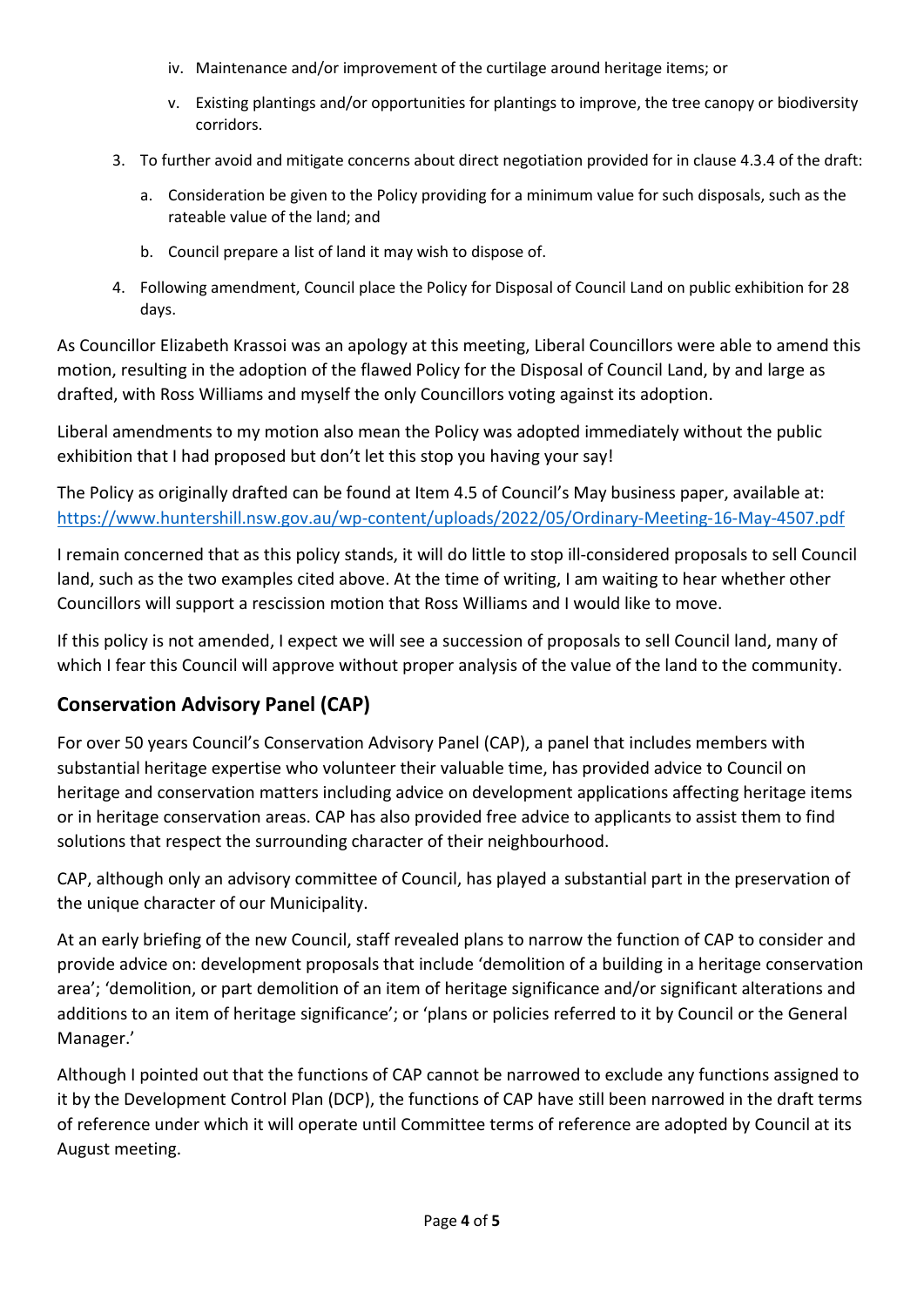- iv. Maintenance and/or improvement of the curtilage around heritage items; or
- v. Existing plantings and/or opportunities for plantings to improve, the tree canopy or biodiversity corridors.
- 3. To further avoid and mitigate concerns about direct negotiation provided for in clause 4.3.4 of the draft:
	- a. Consideration be given to the Policy providing for a minimum value for such disposals, such as the rateable value of the land; and
	- b. Council prepare a list of land it may wish to dispose of.
- 4. Following amendment, Council place the Policy for Disposal of Council Land on public exhibition for 28 days.

As Councillor Elizabeth Krassoi was an apology at this meeting, Liberal Councillors were able to amend this motion, resulting in the adoption of the flawed Policy for the Disposal of Council Land, by and large as drafted, with Ross Williams and myself the only Councillors voting against its adoption.

Liberal amendments to my motion also mean the Policy was adopted immediately without the public exhibition that I had proposed but don't let this stop you having your say!

The Policy as originally drafted can be found at Item 4.5 of Council's May business paper, available at: <https://www.huntershill.nsw.gov.au/wp-content/uploads/2022/05/Ordinary-Meeting-16-May-4507.pdf>

I remain concerned that as this policy stands, it will do little to stop ill-considered proposals to sell Council land, such as the two examples cited above. At the time of writing, I am waiting to hear whether other Councillors will support a rescission motion that Ross Williams and I would like to move.

If this policy is not amended, I expect we will see a succession of proposals to sell Council land, many of which I fear this Council will approve without proper analysis of the value of the land to the community.

#### **Conservation Advisory Panel (CAP)**

For over 50 years Council's Conservation Advisory Panel (CAP), a panel that includes members with substantial heritage expertise who volunteer their valuable time, has provided advice to Council on heritage and conservation matters including advice on development applications affecting heritage items or in heritage conservation areas. CAP has also provided free advice to applicants to assist them to find solutions that respect the surrounding character of their neighbourhood.

CAP, although only an advisory committee of Council, has played a substantial part in the preservation of the unique character of our Municipality.

At an early briefing of the new Council, staff revealed plans to narrow the function of CAP to consider and provide advice on: development proposals that include 'demolition of a building in a heritage conservation area'; 'demolition, or part demolition of an item of heritage significance and/or significant alterations and additions to an item of heritage significance'; or 'plans or policies referred to it by Council or the General Manager.'

Although I pointed out that the functions of CAP cannot be narrowed to exclude any functions assigned to it by the Development Control Plan (DCP), the functions of CAP have still been narrowed in the draft terms of reference under which it will operate until Committee terms of reference are adopted by Council at its August meeting.